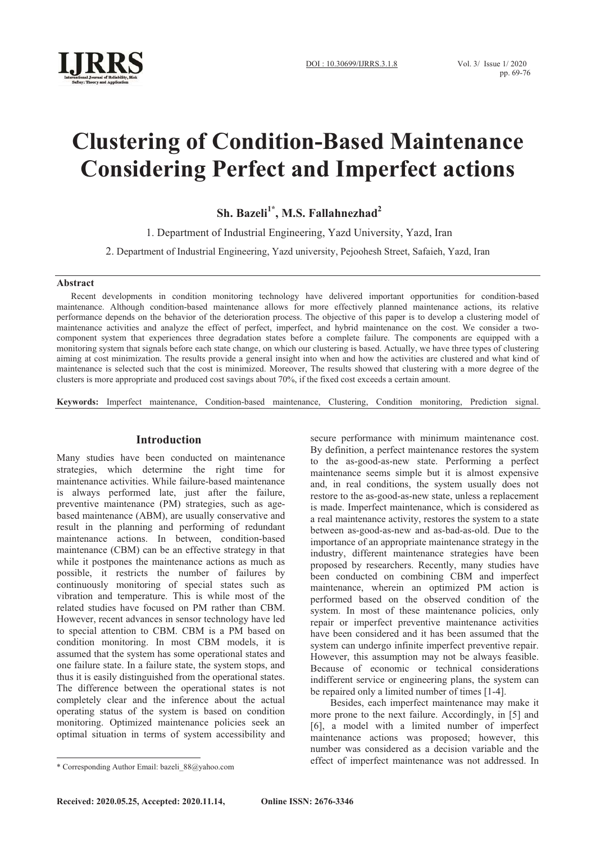

# **Clustering of Condition-Based Maintenance Considering Perfect and Imperfect actions**

 **Sh. Bazeli1\*, M.S. Fallahnezhad2**

1. Department of Industrial Engineering, Yazd University, Yazd, Iran

2. Department of Industrial Engineering, Yazd university, Pejoohesh Street, Safaieh, Yazd, Iran

### **Abstract**

Recent developments in condition monitoring technology have delivered important opportunities for condition-based maintenance. Although condition-based maintenance allows for more effectively planned maintenance actions, its relative performance depends on the behavior of the deterioration process. The objective of this paper is to develop a clustering model of maintenance activities and analyze the effect of perfect, imperfect, and hybrid maintenance on the cost. We consider a twocomponent system that experiences three degradation states before a complete failure. The components are equipped with a monitoring system that signals before each state change, on which our clustering is based. Actually, we have three types of clustering aiming at cost minimization. The results provide a general insight into when and how the activities are clustered and what kind of maintenance is selected such that the cost is minimized. Moreover, The results showed that clustering with a more degree of the clusters is more appropriate and produced cost savings about 70%, if the fixed cost exceeds a certain amount.

**Keywords:** Imperfect maintenance, Condition-based maintenance, Clustering, Condition monitoring, Prediction signal.

# **Introduction**

Many studies have been conducted on maintenance strategies, which determine the right time for maintenance activities. While failure-based maintenance is always performed late, just after the failure, preventive maintenance (PM) strategies, such as agebased maintenance (ABM), are usually conservative and result in the planning and performing of redundant maintenance actions. In between, condition-based maintenance (CBM) can be an effective strategy in that while it postpones the maintenance actions as much as possible, it restricts the number of failures by continuously monitoring of special states such as vibration and temperature. This is while most of the related studies have focused on PM rather than CBM. However, recent advances in sensor technology have led to special attention to CBM. CBM is a PM based on condition monitoring. In most CBM models, it is assumed that the system has some operational states and one failure state. In a failure state, the system stops, and thus it is easily distinguished from the operational states. The difference between the operational states is not completely clear and the inference about the actual operating status of the system is based on condition monitoring. Optimized maintenance policies seek an optimal situation in terms of system accessibility and

secure performance with minimum maintenance cost. By definition, a perfect maintenance restores the system to the as-good-as-new state. Performing a perfect maintenance seems simple but it is almost expensive and, in real conditions, the system usually does not restore to the as-good-as-new state, unless a replacement is made. Imperfect maintenance, which is considered as a real maintenance activity, restores the system to a state between as-good-as-new and as-bad-as-old. Due to the importance of an appropriate maintenance strategy in the industry, different maintenance strategies have been proposed by researchers. Recently, many studies have been conducted on combining CBM and imperfect maintenance, wherein an optimized PM action is performed based on the observed condition of the system. In most of these maintenance policies, only repair or imperfect preventive maintenance activities have been considered and it has been assumed that the system can undergo infinite imperfect preventive repair. However, this assumption may not be always feasible. Because of economic or technical considerations indifferent service or engineering plans, the system can be repaired only a limited number of times [1-4].

Besides, each imperfect maintenance may make it more prone to the next failure. Accordingly, in [5] and [6], a model with a limited number of imperfect maintenance actions was proposed; however, this number was considered as a decision variable and the effect of imperfect maintenance was not addressed. In

 $\overline{a}$ 

<sup>\*</sup> Corresponding Author Email: bazeli\_88@yahoo.com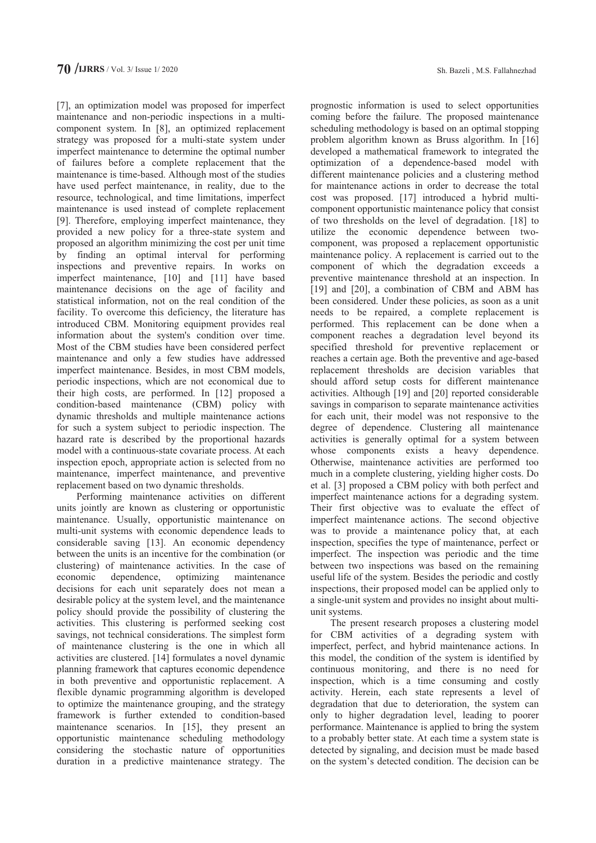[7], an optimization model was proposed for imperfect maintenance and non-periodic inspections in a multicomponent system. In [8], an optimized replacement strategy was proposed for a multi-state system under imperfect maintenance to determine the optimal number of failures before a complete replacement that the maintenance is time-based. Although most of the studies have used perfect maintenance, in reality, due to the resource, technological, and time limitations, imperfect maintenance is used instead of complete replacement [9]. Therefore, employing imperfect maintenance, they provided a new policy for a three-state system and proposed an algorithm minimizing the cost per unit time by finding an optimal interval for performing inspections and preventive repairs. In works on imperfect maintenance, [10] and [11] have based maintenance decisions on the age of facility and statistical information, not on the real condition of the facility. To overcome this deficiency, the literature has introduced CBM. Monitoring equipment provides real information about the system's condition over time. Most of the CBM studies have been considered perfect maintenance and only a few studies have addressed imperfect maintenance. Besides, in most CBM models, periodic inspections, which are not economical due to their high costs, are performed. In [12] proposed a condition-based maintenance (CBM) policy with dynamic thresholds and multiple maintenance actions for such a system subject to periodic inspection. The hazard rate is described by the proportional hazards model with a continuous-state covariate process. At each inspection epoch, appropriate action is selected from no maintenance, imperfect maintenance, and preventive replacement based on two dynamic thresholds.

Performing maintenance activities on different units jointly are known as clustering or opportunistic maintenance. Usually, opportunistic maintenance on multi-unit systems with economic dependence leads to considerable saving [13]. An economic dependency between the units is an incentive for the combination (or clustering) of maintenance activities. In the case of economic dependence, decisions for each unit separately does not mean a desirable policy at the system level, and the maintenance policy should provide the possibility of clustering the activities. This clustering is performed seeking cost savings, not technical considerations. The simplest form of maintenance clustering is the one in which all activities are clustered. [14] formulates a novel dynamic planning framework that captures economic dependence in both preventive and opportunistic replacement. A flexible dynamic programming algorithm is developed to optimize the maintenance grouping, and the strategy framework is further extended to condition-based maintenance scenarios. In [15], they present an opportunistic maintenance scheduling methodology considering the stochastic nature of opportunities duration in a predictive maintenance strategy. The

prognostic information is used to select opportunities coming before the failure. The proposed maintenance scheduling methodology is based on an optimal stopping problem algorithm known as Bruss algorithm. In [16] developed a mathematical framework to integrated the optimization of a dependence-based model with different maintenance policies and a clustering method for maintenance actions in order to decrease the total cost was proposed. [17] introduced a hybrid multicomponent opportunistic maintenance policy that consist of two thresholds on the level of degradation. [18] to utilize the economic dependence between twocomponent, was proposed a replacement opportunistic maintenance policy. A replacement is carried out to the component of which the degradation exceeds a preventive maintenance threshold at an inspection. In [19] and [20], a combination of CBM and ABM has been considered. Under these policies, as soon as a unit needs to be repaired, a complete replacement is performed. This replacement can be done when a component reaches a degradation level beyond its specified threshold for preventive replacement or reaches a certain age. Both the preventive and age-based replacement thresholds are decision variables that should afford setup costs for different maintenance activities. Although [19] and [20] reported considerable savings in comparison to separate maintenance activities for each unit, their model was not responsive to the degree of dependence. Clustering all maintenance activities is generally optimal for a system between whose components exists a heavy dependence. Otherwise, maintenance activities are performed too much in a complete clustering, yielding higher costs. Do et al. [3] proposed a CBM policy with both perfect and imperfect maintenance actions for a degrading system. Their first objective was to evaluate the effect of imperfect maintenance actions. The second objective was to provide a maintenance policy that, at each inspection, specifies the type of maintenance, perfect or imperfect. The inspection was periodic and the time between two inspections was based on the remaining useful life of the system. Besides the periodic and costly inspections, their proposed model can be applied only to a single-unit system and provides no insight about multiunit systems.

The present research proposes a clustering model for CBM activities of a degrading system with imperfect, perfect, and hybrid maintenance actions. In this model, the condition of the system is identified by continuous monitoring, and there is no need for inspection, which is a time consuming and costly activity. Herein, each state represents a level of degradation that due to deterioration, the system can only to higher degradation level, leading to poorer performance. Maintenance is applied to bring the system to a probably better state. At each time a system state is detected by signaling, and decision must be made based on the system's detected condition. The decision can be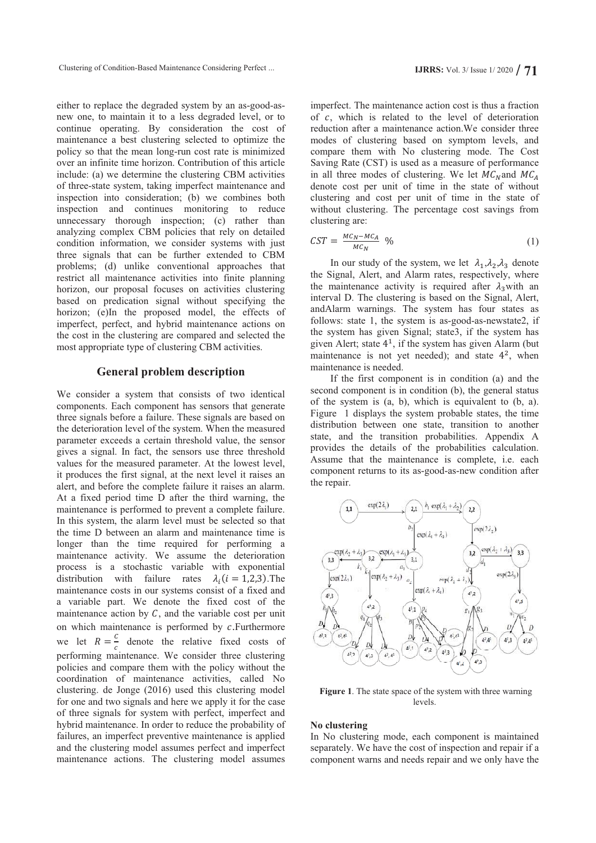either to replace the degraded system by an as-good-asnew one, to maintain it to a less degraded level, or to continue operating. By consideration the cost of maintenance a best clustering selected to optimize the policy so that the mean long-run cost rate is minimized over an infinite time horizon. Contribution of this article include: (a) we determine the clustering CBM activities of three-state system, taking imperfect maintenance and inspection into consideration; (b) we combines both inspection and continues monitoring to reduce unnecessary thorough inspection; (c) rather than analyzing complex CBM policies that rely on detailed condition information, we consider systems with just three signals that can be further extended to CBM problems; (d) unlike conventional approaches that restrict all maintenance activities into finite planning horizon, our proposal focuses on activities clustering based on predication signal without specifying the horizon; (e)In the proposed model, the effects of imperfect, perfect, and hybrid maintenance actions on the cost in the clustering are compared and selected the most appropriate type of clustering CBM activities.

# **General problem description**

We consider a system that consists of two identical components. Each component has sensors that generate three signals before a failure. These signals are based on the deterioration level of the system. When the measured parameter exceeds a certain threshold value, the sensor gives a signal. In fact, the sensors use three threshold values for the measured parameter. At the lowest level, it produces the first signal, at the next level it raises an alert, and before the complete failure it raises an alarm. At a fixed period time D after the third warning, the maintenance is performed to prevent a complete failure. In this system, the alarm level must be selected so that the time D between an alarm and maintenance time is longer than the time required for performing a maintenance activity. We assume the deterioration process is a stochastic variable with exponential distribution with failure rates  $\lambda_i$  (*i* = 1,2,3). The maintenance costs in our systems consist of a fixed and a variable part. We denote the fixed cost of the maintenance action by  $C$ , and the variable cost per unit on which maintenance is performed by  $c$ . Furthermore we let  $R = \frac{c}{c}$  denote the relative fixed costs of performing maintenance. We consider three clustering policies and compare them with the policy without the coordination of maintenance activities, called No clustering. de Jonge (2016) used this clustering model for one and two signals and here we apply it for the case of three signals for system with perfect, imperfect and hybrid maintenance. In order to reduce the probability of failures, an imperfect preventive maintenance is applied and the clustering model assumes perfect and imperfect maintenance actions. The clustering model assumes

imperfect. The maintenance action cost is thus a fraction of , which is related to the level of deterioration reduction after a maintenance action.We consider three modes of clustering based on symptom levels, and compare them with No clustering mode. The Cost Saving Rate (CST) is used as a measure of performance in all three modes of clustering. We let  $MC<sub>N</sub>$  and  $MC<sub>A</sub>$ denote cost per unit of time in the state of without clustering and cost per unit of time in the state of without clustering. The percentage cost savings from clustering are:

$$
CST = \frac{MC_N - MC_A}{MC_N} \quad \%
$$
 (1)

In our study of the system, we let  $\lambda_1, \lambda_2, \lambda_3$  denote the Signal, Alert, and Alarm rates, respectively, where the maintenance activity is required after  $\lambda_3$  with an interval D. The clustering is based on the Signal, Alert, andAlarm warnings. The system has four states as follows: state 1, the system is as-good-as-newstate2, if the system has given Signal; state3, if the system has given Alert; state  $4<sup>1</sup>$ , if the system has given Alarm (but maintenance is not yet needed); and state  $4^2$ , when maintenance is needed.

If the first component is in condition (a) and the second component is in condition (b), the general status of the system is (a, b), which is equivalent to (b, a). Figure 1 displays the system probable states, the time distribution between one state, transition to another state, and the transition probabilities. Appendix A provides the details of the probabilities calculation. Assume that the maintenance is complete, i.e. each component returns to its as-good-as-new condition after the repair.



**Figure 1.** The state space of the system with three warning levels.

### **No clustering**

In No clustering mode, each component is maintained separately. We have the cost of inspection and repair if a component warns and needs repair and we only have the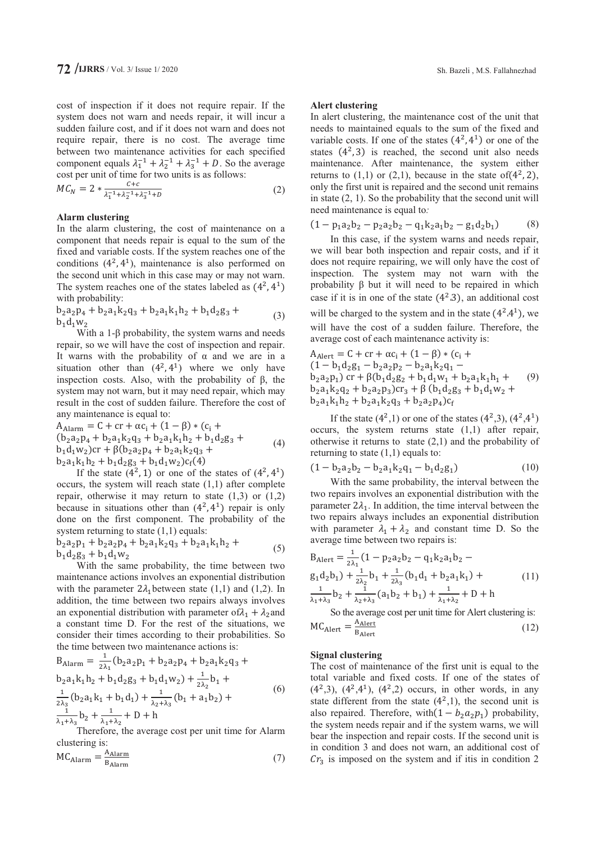cost of inspection if it does not require repair. If the system does not warn and needs repair, it will incur a sudden failure cost, and if it does not warn and does not require repair, there is no cost. The average time between two maintenance activities for each specified component equals  $\lambda_1^{-1} + \lambda_2^{-1} + \lambda_3^{-1} + D$ . So the average cost per unit of time for two units is as follows:

$$
MC_N = 2 * \frac{c+c}{\lambda_1^{-1} + \lambda_2^{-1} + \lambda_3^{-1} + D}
$$
 (2)

# **Alarm clustering**

In the alarm clustering, the cost of maintenance on a component that needs repair is equal to the sum of the fixed and variable costs. If the system reaches one of the conditions  $(4^2, 4^1)$ , maintenance is also performed on the second unit which in this case may or may not warn. The system reaches one of the states labeled as  $(4^2, 4^1)$ with probability:

$$
b_2 a_2 p_4 + b_2 a_1 k_2 q_3 + b_2 a_1 k_1 h_2 + b_1 d_2 g_3 + b_1 d_1 w_2
$$
 (3)

With a  $1-\beta$  probability, the system warns and needs repair, so we will have the cost of inspection and repair. It warns with the probability of  $\alpha$  and we are in a situation other than  $(4^2, 4^1)$  where we only have inspection costs. Also, with the probability of  $\beta$ , the system may not warn, but it may need repair, which may result in the cost of sudden failure. Therefore the cost of any maintenance is equal to:

 $A_{\text{Alarm}} = C + cr + \alpha c_i + (1 - \beta) * (c_i +$  $(b_2a_2p_4+b_2a_1k_2q_3+b_2a_1k_1h_2+b_1d_2g_3+$  $b_1d_1w_2$ )cr +  $\beta$ ( $b_2a_2p_4 + b_2a_1k_2q_3 +$  ${\bf b}_2{\bf a}_1{\bf k}_1{\bf h}_2+{\bf b}_1{\bf d}_2{\bf g}_3+{\bf b}_1{\bf d}_1{\bf w}_2) {\bf c}_f(\overline{4})$ (4)

If the state  $(4^2, 1)$  or one of the states of  $(4^2, 4^1)$ occurs, the system will reach state (1,1) after complete repair, otherwise it may return to state  $(1,3)$  or  $(1,2)$ because in situations other than  $(4^2, 4^1)$  repair is only done on the first component. The probability of the system returning to state  $(1,1)$  equals:

$$
b_2a_2p_1 + b_2a_2p_4 + b_2a_1k_2q_3 + b_2a_1k_1h_2 +
$$
  
\n
$$
b_1d_2g_3 + b_1d_1w_2
$$
\n(5)

With the same probability, the time between two maintenance actions involves an exponential distribution with the parameter  $2\lambda_1$  between state (1,1) and (1,2). In addition, the time between two repairs always involves an exponential distribution with parameter of  $\lambda_1 + \lambda_2$  and a constant time D. For the rest of the situations, we consider their times according to their probabilities. So the time between two maintenance actions is:

$$
B_{\text{Alarm}} = \frac{1}{2\lambda_1} (b_2 a_2 p_1 + b_2 a_2 p_4 + b_2 a_1 k_2 q_3 + b_2 a_1 k_1 h_2 + b_1 d_2 g_3 + b_1 d_1 w_2) + \frac{1}{2\lambda_2} b_1 + \frac{1}{2\lambda_3} (b_2 a_1 k_1 + b_1 d_1) + \frac{1}{\lambda_2 + \lambda_3} (b_1 + a_1 b_2) + \frac{1}{\lambda_1 + \lambda_3} b_2 + \frac{1}{\lambda_1 + \lambda_2} + D + h
$$
\n
$$
(6)
$$

Therefore, the average cost per unit time for Alarm clustering is:

$$
MC_{Alarm} = \frac{A_{Alarm}}{B_{Alarm}}
$$
 (7)

## **Alert clustering**

In alert clustering, the maintenance cost of the unit that needs to maintained equals to the sum of the fixed and variable costs. If one of the states  $(4^2, 4^1)$  or one of the states  $(4^2, 3)$  is reached, the second unit also needs maintenance. After maintenance, the system either returns to  $(1,1)$  or  $(2,1)$ , because in the state of  $(4^2, 2)$ , only the first unit is repaired and the second unit remains in state (2, 1). So the probability that the second unit will need maintenance is equal to*:*

$$
(1 - p_1 a_2 b_2 - p_2 a_2 b_2 - q_1 k_2 a_1 b_2 - g_1 d_2 b_1)
$$
 (8)

In this case, if the system warns and needs repair, we will bear both inspection and repair costs, and if it does not require repairing, we will only have the cost of inspection. The system may not warn with the probability  $\beta$  but it will need to be repaired in which case if it is in one of the state  $(4^2.3)$ , an additional cost will be charged to the system and in the state  $(4^2.4^1)$ , we

will have the cost of a sudden failure. Therefore, the average cost of each maintenance activity is:  $A_{\text{Alert}} = C + cr + \alpha c_i + (1 - \beta) * (c_i +$  $(1 - b_1 d_2 g_1 - b_2 a_2 p_2 - b_2 a_1 k_2 q_1 -$ 

 $b_2a_2p_1$ ) cr +  $\beta$  $(b_1d_2g_2 + b_1d_1w_1 + b_2a_1k_1h_1 +$  $b_2a_1k_2q_2 + b_2a_2p_3)cr_3 + \beta (b_1d_2g_3 + b_1d_1w_2 +$  $b_2a_1k_1h_2+b_2a_1k_2q_3+b_2a_2p_4)c_f$ (9)

If the state  $(4^2,1)$  or one of the states  $(4^2,3)$ ,  $(4^2,4^1)$ occurs, the system returns state (1,1) after repair, otherwise it returns to state (2,1) and the probability of returning to state  $(1,1)$  equals to:

$$
(1-b_2a_2b_2-b_2a_1k_2q_1-b_1d_2g_1)\qquad \qquad (10)
$$

With the same probability, the interval between the two repairs involves an exponential distribution with the parameter  $2\lambda_1$ . In addition, the time interval between the two repairs always includes an exponential distribution with parameter  $\lambda_1 + \lambda_2$  and constant time D. So the average time between two repairs is:

$$
B_{\text{Alert}} = \frac{1}{2\lambda_1} (1 - p_2 a_2 b_2 - q_1 k_2 a_1 b_2 -
$$
  
\n
$$
g_1 d_2 b_1) + \frac{1}{2\lambda_2} b_1 + \frac{1}{2\lambda_3} (b_1 d_1 + b_2 a_1 k_1) +
$$
  
\n
$$
\frac{1}{\lambda_1 + \lambda_3} b_2 + \frac{1}{\lambda_2 + \lambda_3} (a_1 b_2 + b_1) + \frac{1}{\lambda_1 + \lambda_2} + D + h
$$
 (11)

So the average cost per unit time for Alert clustering is:  $MC_{Aert} = \frac{A_{Aert}}{B_{Aert}}$ (12)

#### **Signal clustering**

The cost of maintenance of the first unit is equal to the total variable and fixed costs. If one of the states of  $(4^2,3)$ ,  $(4^2,4^1)$ ,  $(4^2,2)$  occurs, in other words, in any state different from the state  $(4^2,1)$ , the second unit is also repaired. Therefore, with $(1 - b_2 a_2 p_1)$  probability, the system needs repair and if the system warns, we will bear the inspection and repair costs. If the second unit is in condition 3 and does not warn, an additional cost of  $Cr<sub>3</sub>$  is imposed on the system and if itis in condition 2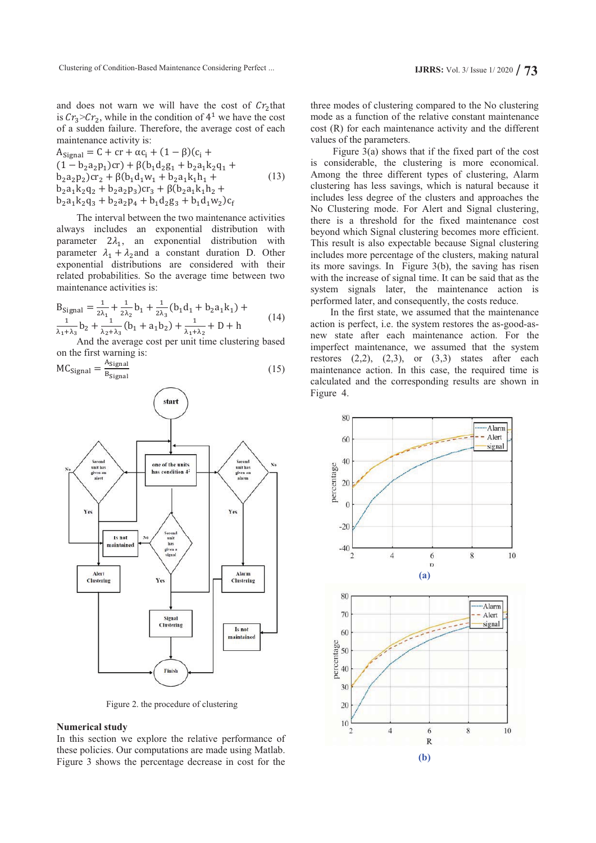and does not warn we will have the cost of  $Cr<sub>2</sub>$ that is  $Cr_3 > Cr_2$ , while in the condition of  $4<sup>1</sup>$  we have the cost of a sudden failure. Therefore, the average cost of each maintenance activity is:

$$
A_{\text{Signal}} = C + cr + \alpha c_1 + (1 - \beta)(c_1 + (1 - b_2 a_2 p_1) cr) + \beta(b_1 d_2 g_1 + b_2 a_1 k_2 q_1 + b_2 a_2 p_2) cr_2 + \beta(b_1 d_1 w_1 + b_2 a_1 k_1 h_1 + b_2 a_1 k_2 q_2 + b_2 a_2 p_3) cr_3 + \beta(b_2 a_1 k_1 h_2 + b_2 a_1 k_2 q_3 + b_2 a_2 p_4 + b_1 d_2 g_3 + b_1 d_1 w_2) c_f
$$
\n(13)

The interval between the two maintenance activities always includes an exponential distribution with parameter  $2\lambda_1$ , an exponential distribution with parameter  $\lambda_1 + \lambda_2$  and a constant duration D. Other exponential distributions are considered with their related probabilities. So the average time between two maintenance activities is:

$$
B_{\text{Signal}} = \frac{1}{2\lambda_1} + \frac{1}{2\lambda_2}b_1 + \frac{1}{2\lambda_3}(b_1d_1 + b_2a_1k_1) + \frac{1}{\lambda_1 + \lambda_3}b_2 + \frac{1}{\lambda_2 + \lambda_3}(b_1 + a_1b_2) + \frac{1}{\lambda_1 + \lambda_2} + D + h
$$
 (14)

And the average cost per unit time clustering based on the first warning is:

$$
MC_{Signal} = \frac{A_{Signal}}{B_{Signal}}
$$
 (15)



Figure 2. the procedure of clustering

#### **Numerical study**

In this section we explore the relative performance of these policies. Our computations are made using Matlab. Figure 3 shows the percentage decrease in cost for the

three modes of clustering compared to the No clustering mode as a function of the relative constant maintenance cost (R) for each maintenance activity and the different values of the parameters.

 Figure 3(a) shows that if the fixed part of the cost is considerable, the clustering is more economical. Among the three different types of clustering, Alarm clustering has less savings, which is natural because it includes less degree of the clusters and approaches the No Clustering mode. For Alert and Signal clustering, there is a threshold for the fixed maintenance cost beyond which Signal clustering becomes more efficient. This result is also expectable because Signal clustering includes more percentage of the clusters, making natural its more savings. In Figure 3(b), the saving has risen with the increase of signal time. It can be said that as the system signals later, the maintenance action is performed later, and consequently, the costs reduce.

In the first state, we assumed that the maintenance action is perfect, i.e. the system restores the as-good-asnew state after each maintenance action. For the imperfect maintenance, we assumed that the system restores  $(2,2)$ ,  $(2,3)$ , or  $(3,3)$  states after each maintenance action. In this case, the required time is calculated and the corresponding results are shown in Figure 4.

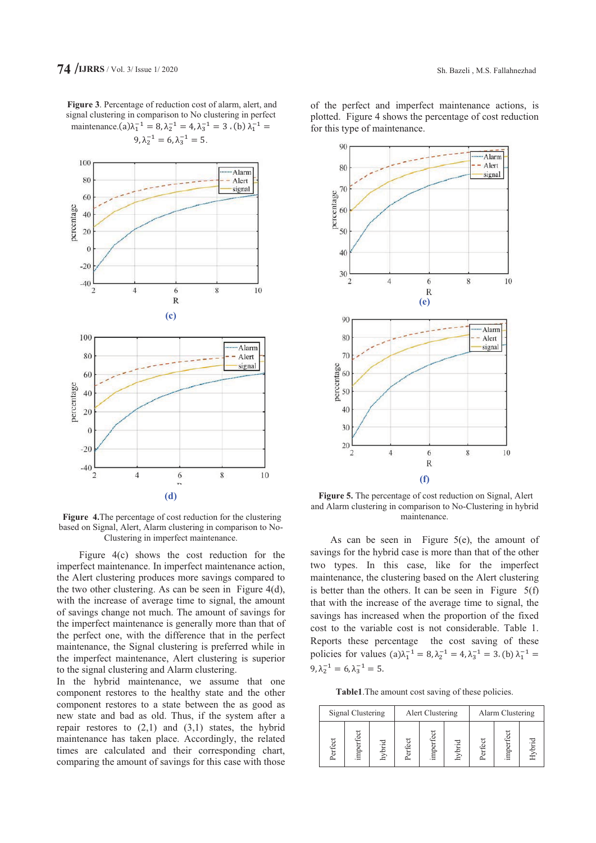



 **Figure 4.**The percentage of cost reduction for the clustering based on Signal, Alert, Alarm clustering in comparison to No-Clustering in imperfect maintenance.

 Figure 4(c) shows the cost reduction for the imperfect maintenance. In imperfect maintenance action, the Alert clustering produces more savings compared to the two other clustering. As can be seen in Figure 4(d), with the increase of average time to signal, the amount of savings change not much. The amount of savings for the imperfect maintenance is generally more than that of the perfect one, with the difference that in the perfect maintenance, the Signal clustering is preferred while in the imperfect maintenance, Alert clustering is superior to the signal clustering and Alarm clustering.

In the hybrid maintenance, we assume that one component restores to the healthy state and the other component restores to a state between the as good as new state and bad as old. Thus, if the system after a repair restores to  $(2,1)$  and  $(3,1)$  states, the hybrid maintenance has taken place. Accordingly, the related times are calculated and their corresponding chart, comparing the amount of savings for this case with those of the perfect and imperfect maintenance actions, is plotted. Figure 4 shows the percentage of cost reduction for this type of maintenance.



 **Figure 5.** The percentage of cost reduction on Signal, Alert and Alarm clustering in comparison to No-Clustering in hybrid maintenance.

As can be seen in Figure 5(e), the amount of savings for the hybrid case is more than that of the other two types. In this case, like for the imperfect maintenance, the clustering based on the Alert clustering is better than the others. It can be seen in Figure  $5(f)$ that with the increase of the average time to signal, the savings has increased when the proportion of the fixed cost to the variable cost is not considerable. Table 1. Reports these percentage the cost saving of these policies for values  $(a)\lambda_1^{-1} = 8, \lambda_2^{-1} = 4, \lambda_3^{-1} = 3$ . (b)  $\lambda_1^{-1} =$  $9, \lambda_2^{-1} = 6, \lambda_3^{-1} = 5.$ 

**Table1**.The amount cost saving of these policies.

| Signal Clustering |  |  | Alert Clustering | Alarm Clustering |  |  |
|-------------------|--|--|------------------|------------------|--|--|
|                   |  |  |                  |                  |  |  |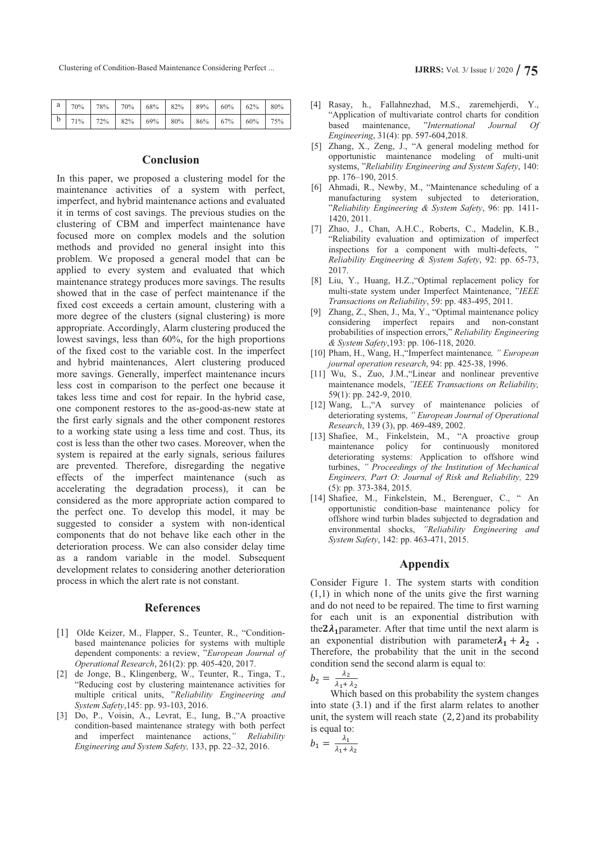**IJRRS:** Vol. 3/ Issue 1/ 2020 **/ 75 IJRRS:** Vol. 3/ Issue 1/ 2020 **/ 75** 

|  |  |  |  | $\boxed{b}$ $\boxed{71\%}$ $\boxed{72\%}$ $\boxed{82\%}$ $\boxed{69\%}$ $\boxed{80\%}$ $\boxed{86\%}$ $\boxed{67\%}$ $\boxed{60\%}$ $\boxed{75\%}$ |  |
|--|--|--|--|----------------------------------------------------------------------------------------------------------------------------------------------------|--|

#### **Conclusion**

In this paper, we proposed a clustering model for the maintenance activities of a system with perfect, imperfect, and hybrid maintenance actions and evaluated it in terms of cost savings. The previous studies on the clustering of CBM and imperfect maintenance have focused more on complex models and the solution methods and provided no general insight into this problem. We proposed a general model that can be applied to every system and evaluated that which maintenance strategy produces more savings. The results showed that in the case of perfect maintenance if the fixed cost exceeds a certain amount, clustering with a more degree of the clusters (signal clustering) is more appropriate. Accordingly, Alarm clustering produced the lowest savings, less than 60%, for the high proportions of the fixed cost to the variable cost. In the imperfect and hybrid maintenances, Alert clustering produced more savings. Generally, imperfect maintenance incurs less cost in comparison to the perfect one because it takes less time and cost for repair. In the hybrid case, one component restores to the as-good-as-new state at the first early signals and the other component restores to a working state using a less time and cost. Thus, its cost is less than the other two cases. Moreover, when the system is repaired at the early signals, serious failures are prevented. Therefore, disregarding the negative effects of the imperfect maintenance (such as accelerating the degradation process), it can be considered as the more appropriate action compared to the perfect one. To develop this model, it may be suggested to consider a system with non-identical components that do not behave like each other in the deterioration process. We can also consider delay time as a random variable in the model. Subsequent development relates to considering another deterioration process in which the alert rate is not constant.

#### **References**

- [1] Olde Keizer, M., Flapper, S., Teunter, R., "Conditionbased maintenance policies for systems with multiple dependent components: a review, "European Journal of *Operational Research*, 261(2): pp. 405-420, 2017.
- [2] de Jonge, B., Klingenberg, W., Teunter, R., Tinga, T., "Reducing cost by clustering maintenance activities for multiple critical units, *Reliability Engineering and System Safety*,145: pp. 93-103, 2016.
- [3] Do, P., Voisin, A., Levrat, E., Iung, B.,"A proactive condition-based maintenance strategy with both perfect and imperfect maintenance actions," Reliability *Engineering and System Safety,* 133, pp. 22–32, 2016.
- [4] Rasay, h., Fallahnezhad, M.S., zaremehjerdi, Y., "Application of multivariate control charts for condition based maintenance, *International Journal Of Engineering*, 31(4): pp. 597-604,2018.
- [5] Zhang, X., Zeng, J., "A general modeling method for opportunistic maintenance modeling of multi-unit systems, "Reliability Engineering and System Safety, 140: pp. 176–190, 2015.
- [6] Ahmadi, R., Newby, M., "Maintenance scheduling of a manufacturing system subjected to deterioration, *Reliability Engineering & System Safety*, 96: pp. 1411- 1420, 2011.
- [7] Zhao, J., Chan, A.H.C., Roberts, C., Madelin, K.B., "Reliability evaluation and optimization of imperfect inspections for a component with multi-defects, *Reliability Engineering & System Safety*, 92: pp. 65-73, 2017.
- [8] Liu, Y., Huang, H.Z.,"Optimal replacement policy for multi-state system under Imperfect Maintenance, "IEEE *Transactions on Reliability*, 59: pp. 483-495, 2011.
- [9] Zhang, Z., Shen, J., Ma, Y., "Optimal maintenance policy considering imperfect repairs and non-constant probabilities of inspection errors," Reliability Engineering *& System Safety*,193: pp. 106-118, 2020.
- [10] Pham, H., Wang, H., "Imperfect maintenance, " European *journal operation research*, 94: pp. 425-38, 1996.
- [11] Wu, S., Zuo, J.M., "Linear and nonlinear preventive maintenance models, *-IEEE Transactions on Reliability,* 59(1): pp. 242-9, 2010.
- [12] Wang, L.,"A survey of maintenance policies of deteriorating systems, " European Journal of Operational *Research*, 139 (3), pp. 469-489, 2002.
- [13] Shafiee, M., Finkelstein, M., "A proactive group maintenance policy for continuously monitored deteriorating systems: Application to offshore wind turbines, " Proceedings of the Institution of Mechanical *Engineers, Part O: Journal of Risk and Reliability,* 229 (5): pp. 373-384, 2015.
- [14] Shafiee, M., Finkelstein, M., Berenguer, C., " An opportunistic condition-base maintenance policy for offshore wind turbin blades subjected to degradation and environmental shocks, "Reliability Engineering and *System Safety*, 142: pp. 463-471, 2015.

## **Appendix**

Consider Figure 1. The system starts with condition (1,1) in which none of the units give the first warning and do not need to be repaired. The time to first warning for each unit is an exponential distribution with the  $2\lambda_1$  parameter. After that time until the next alarm is an exponential distribution with parameter  $\lambda_1 + \lambda_2$ . Therefore, the probability that the unit in the second condition send the second alarm is equal to:

$$
b_2 = \frac{\lambda_2}{\lambda_1 + \lambda_2}
$$

 $\ddot{\phantom{0}}$ 

Which based on this probability the system changes into state (3.1) and if the first alarm relates to another unit, the system will reach state  $(2, 2)$  and its probability is equal to:

$$
b_1 = \frac{\lambda_1}{\lambda_1 + \lambda_2}
$$